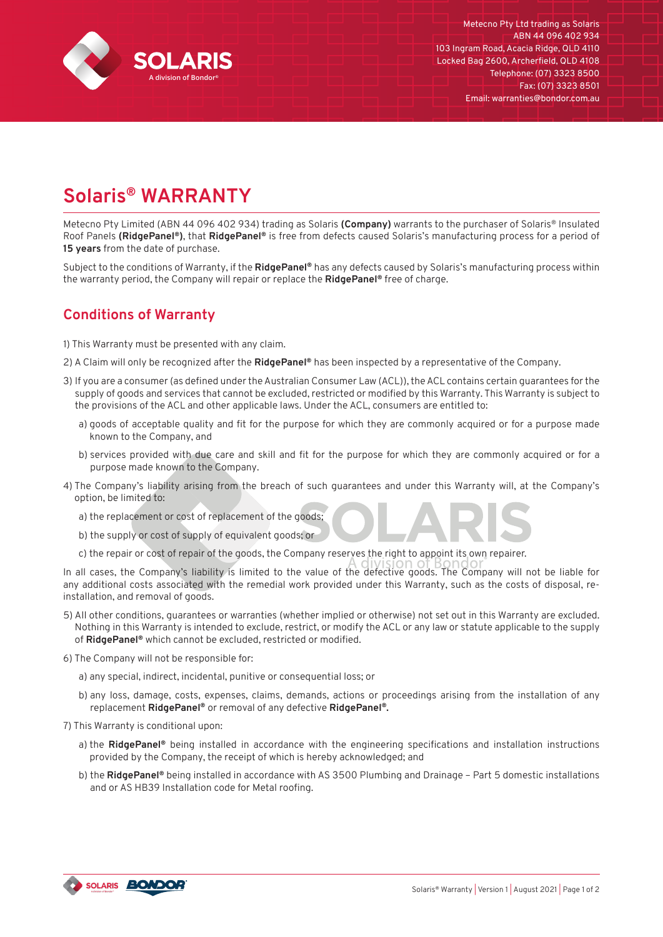

## **Solaris® WARRANTY**

Metecno Pty Limited (ABN 44 096 402 934) trading as Solaris **(Company)** warrants to the purchaser of Solaris® Insulated Roof Panels **(RidgePanel®)**, that **RidgePanel®** is free from defects caused Solaris's manufacturing process for a period of **15 years** from the date of purchase.

Subject to the conditions of Warranty, if the **RidgePanel®** has any defects caused by Solaris's manufacturing process within the warranty period, the Company will repair or replace the **RidgePanel®** free of charge.

## **Conditions of Warranty**

1) This Warranty must be presented with any claim.

- 2) A Claim will only be recognized after the **RidgePanel®** has been inspected by a representative of the Company.
- 3) If you are a consumer (as defined under the Australian Consumer Law (ACL)), the ACL contains certain guarantees for the supply of goods and services that cannot be excluded, restricted or modified by this Warranty. This Warranty is subject to the provisions of the ACL and other applicable laws. Under the ACL, consumers are entitled to:
	- a) goods of acceptable quality and fit for the purpose for which they are commonly acquired or for a purpose made known to the Company, and
	- b) services provided with due care and skill and fit for the purpose for which they are commonly acquired or for a purpose made known to the Company.
- 4) The Company's liability arising from the breach of such guarantees and under this Warranty will, at the Company's option, be limited to:
	- a) the replacement or cost of replacement of the goods;
	- b) the supply or cost of supply of equivalent goods; or
	- c) the repair or cost of repair of the goods, the Company reserves the right to appoint its own repairer.

In all cases, the Company's liability is limited to the value of the defective goods. The Company will not be liable for any additional costs associated with the remedial work provided under this Warranty, such as the costs of disposal, reinstallation, and removal of goods.

- 5) All other conditions, guarantees or warranties (whether implied or otherwise) not set out in this Warranty are excluded. Nothing in this Warranty is intended to exclude, restrict, or modify the ACL or any law or statute applicable to the supply of **RidgePanel®** which cannot be excluded, restricted or modified.
- 6) The Company will not be responsible for:
	- a) any special, indirect, incidental, punitive or consequential loss; or
	- b) any loss, damage, costs, expenses, claims, demands, actions or proceedings arising from the installation of any replacement **RidgePanel®** or removal of any defective **RidgePanel®.**
- 7) This Warranty is conditional upon:
	- a) the **RidgePanel®** being installed in accordance with the engineering specifications and installation instructions provided by the Company, the receipt of which is hereby acknowledged; and
	- b) the **RidgePanel®** being installed in accordance with AS 3500 Plumbing and Drainage Part 5 domestic installations and or AS HB39 Installation code for Metal roofing.